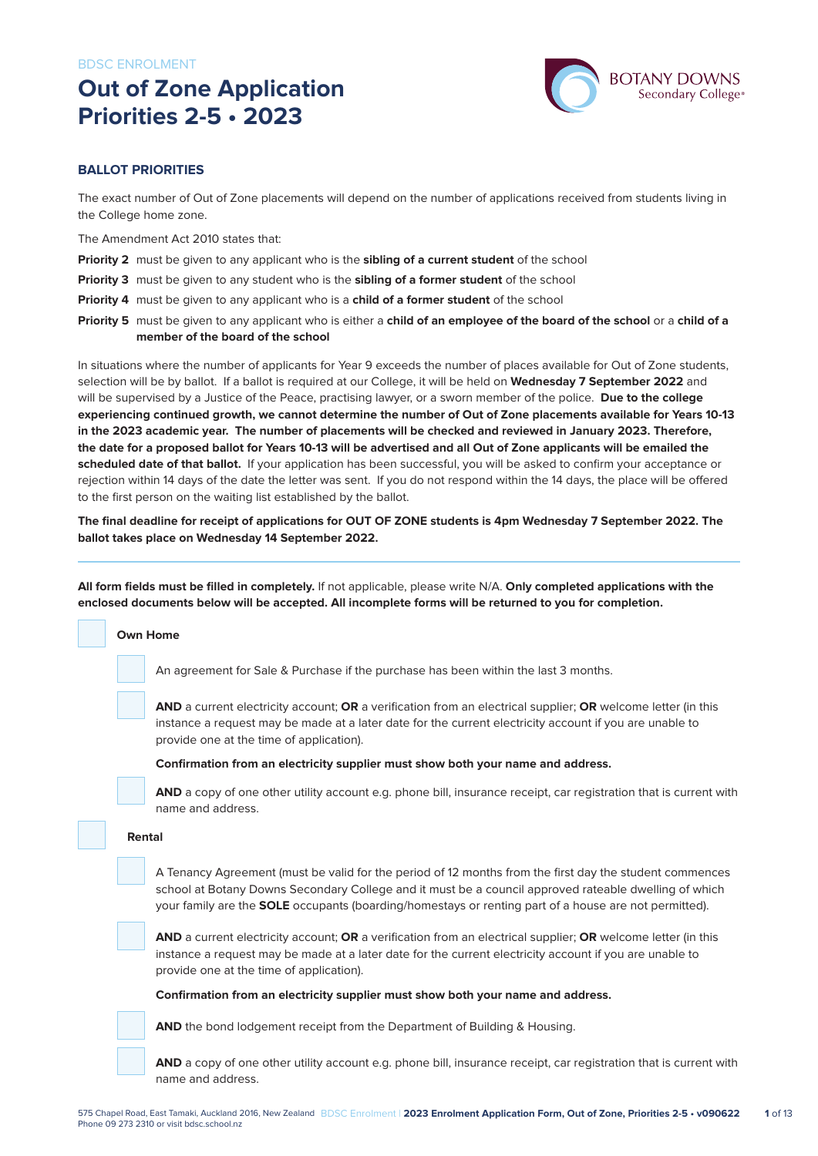# **Out of Zone Application Priorities 2-5 • 2023**



#### **BALLOT PRIORITIES**

The exact number of Out of Zone placements will depend on the number of applications received from students living in the College home zone.

The Amendment Act 2010 states that:

- **Priority 2** must be given to any applicant who is the **sibling of a current student** of the school
- **Priority 3** must be given to any student who is the **sibling of a former student** of the school
- **Priority 4** must be given to any applicant who is a **child of a former student** of the school
- **Priority 5** must be given to any applicant who is either a **child of an employee of the board of the school** or a **child of a member of the board of the school**

In situations where the number of applicants for Year 9 exceeds the number of places available for Out of Zone students, selection will be by ballot. If a ballot is required at our College, it will be held on **Wednesday 7 September 2022** and will be supervised by a Justice of the Peace, practising lawyer, or a sworn member of the police. **Due to the college experiencing continued growth, we cannot determine the number of Out of Zone placements available for Years 10-13 in the 2023 academic year. The number of placements will be checked and reviewed in January 2023. Therefore, the date for a proposed ballot for Years 10-13 will be advertised and all Out of Zone applicants will be emailed the scheduled date of that ballot.** If your application has been successful, you will be asked to confirm your acceptance or rejection within 14 days of the date the letter was sent. If you do not respond within the 14 days, the place will be offered to the first person on the waiting list established by the ballot.

**The final deadline for receipt of applications for OUT OF ZONE students is 4pm Wednesday 7 September 2022. The ballot takes place on Wednesday 14 September 2022.**

**All form fields must be filled in completely.** If not applicable, please write N/A. **Only completed applications with the enclosed documents below will be accepted. All incomplete forms will be returned to you for completion.**

### **Own Home** An agreement for Sale & Purchase if the purchase has been within the last 3 months. **AND** a current electricity account; **OR** a verification from an electrical supplier; **OR** welcome letter (in this instance a request may be made at a later date for the current electricity account if you are unable to provide one at the time of application).

**Confirmation from an electricity supplier must show both your name and address.**

**AND** a copy of one other utility account e.g. phone bill, insurance receipt, car registration that is current with name and address.

#### **Rental**

A Tenancy Agreement (must be valid for the period of 12 months from the first day the student commences school at Botany Downs Secondary College and it must be a council approved rateable dwelling of which your family are the **SOLE** occupants (boarding/homestays or renting part of a house are not permitted).

**AND** a current electricity account; **OR** a verification from an electrical supplier; **OR** welcome letter (in this instance a request may be made at a later date for the current electricity account if you are unable to provide one at the time of application).

**Confirmation from an electricity supplier must show both your name and address.**



**AND** the bond lodgement receipt from the Department of Building & Housing.

**AND** a copy of one other utility account e.g. phone bill, insurance receipt, car registration that is current with name and address.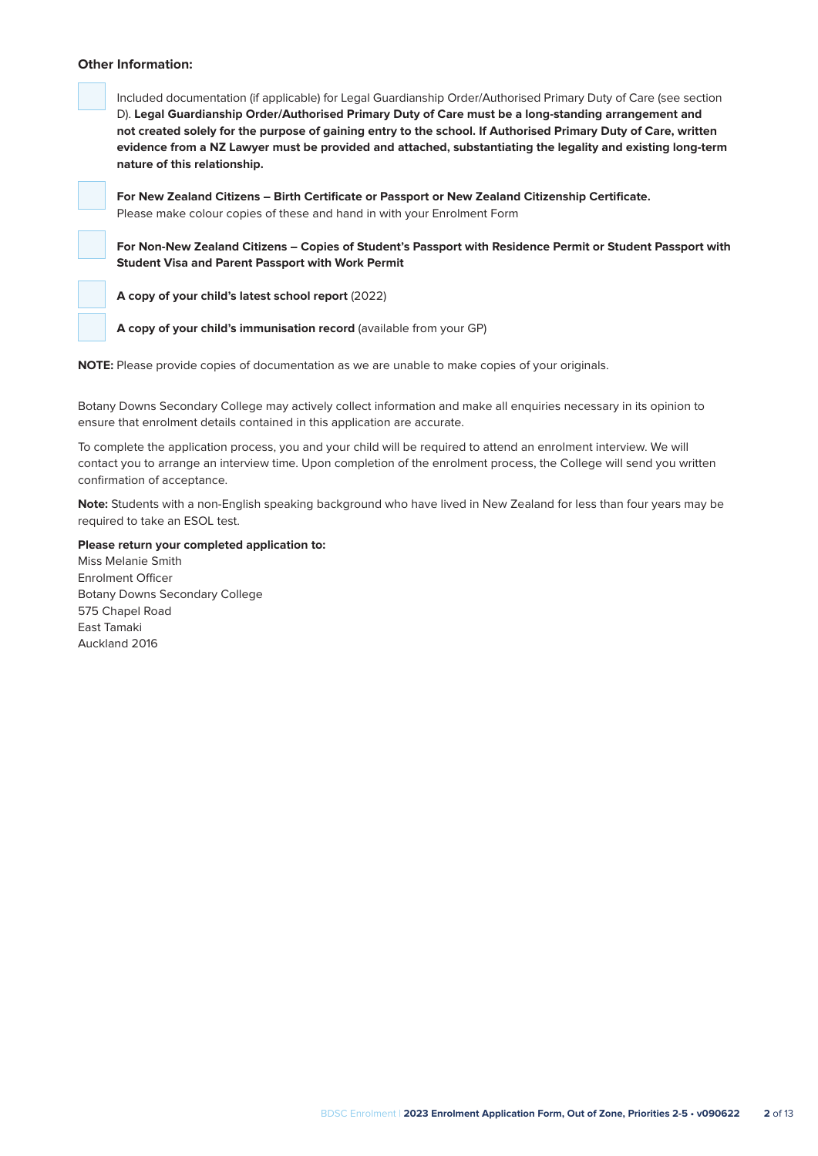#### **Other Information:**



Included documentation (if applicable) for Legal Guardianship Order/Authorised Primary Duty of Care (see section D). **Legal Guardianship Order/Authorised Primary Duty of Care must be a long-standing arrangement and not created solely for the purpose of gaining entry to the school. If Authorised Primary Duty of Care, written evidence from a NZ Lawyer must be provided and attached, substantiating the legality and existing long-term nature of this relationship.**

**For New Zealand Citizens – Birth Certificate or Passport or New Zealand Citizenship Certificate.** Please make colour copies of these and hand in with your Enrolment Form

**For Non-New Zealand Citizens – Copies of Student's Passport with Residence Permit or Student Passport with Student Visa and Parent Passport with Work Permit**

**A copy of your child's latest school report** (2022)



**NOTE:** Please provide copies of documentation as we are unable to make copies of your originals.

Botany Downs Secondary College may actively collect information and make all enquiries necessary in its opinion to ensure that enrolment details contained in this application are accurate.

To complete the application process, you and your child will be required to attend an enrolment interview. We will contact you to arrange an interview time. Upon completion of the enrolment process, the College will send you written confirmation of acceptance.

**Note:** Students with a non-English speaking background who have lived in New Zealand for less than four years may be required to take an ESOL test.

#### **Please return your completed application to:**

Miss Melanie Smith Enrolment Officer Botany Downs Secondary College 575 Chapel Road East Tamaki Auckland 2016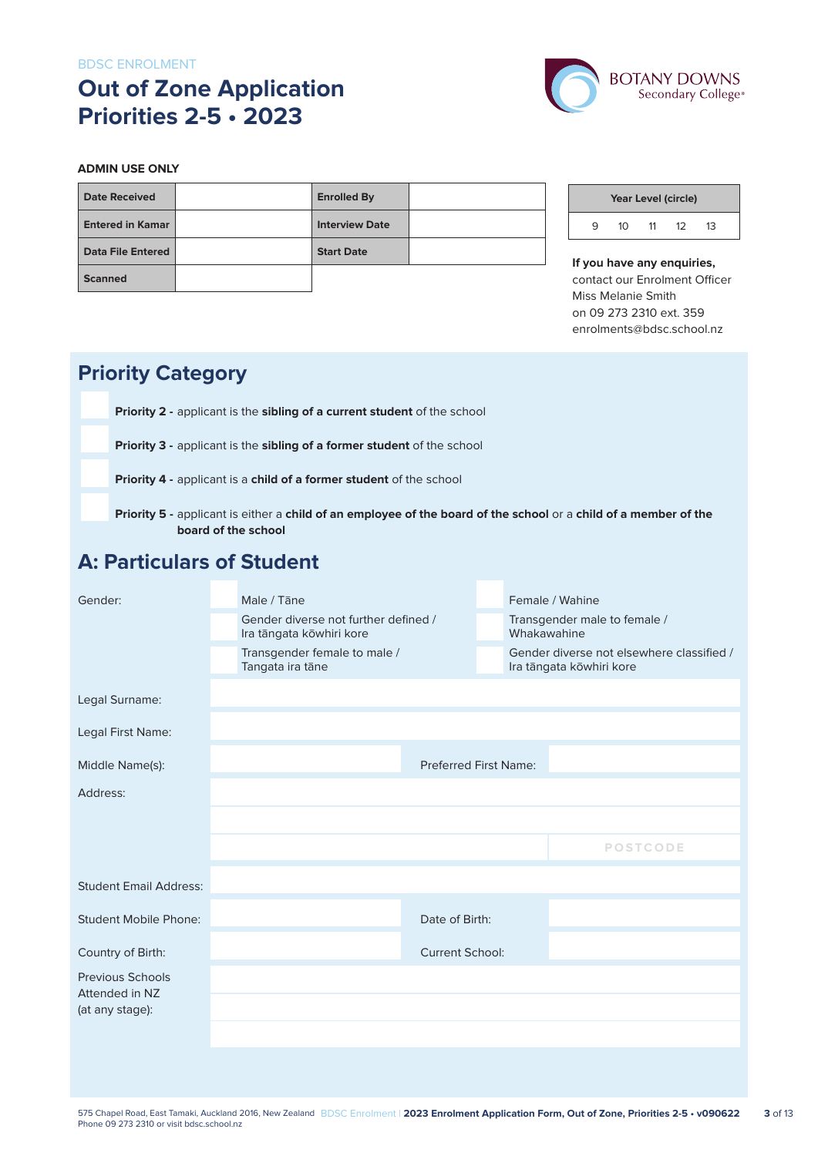# **Out of Zone Application Priorities 2-5 • 2023**



#### **ADMIN USE ONLY**

| <b>Date Received</b>     | <b>Enrolled By</b>    |  |
|--------------------------|-----------------------|--|
| <b>Entered in Kamar</b>  | <b>Interview Date</b> |  |
| <b>Data File Entered</b> | <b>Start Date</b>     |  |
| <b>Scanned</b>           |                       |  |

| Year Level (circle) |    |    |    |    |  |  |  |
|---------------------|----|----|----|----|--|--|--|
| q                   | 10 | 11 | 12 | 13 |  |  |  |

**If you have any enquiries,** contact our Enrolment Officer Miss Melanie Smith on 09 273 2310 ext. 359 enrolments@bdsc.school.nz

# **Priority Category**

**Priority 2 -** applicant is the **sibling of a current student** of the school

**Priority 3 -** applicant is the **sibling of a former student** of the school

**Priority 4 -** applicant is a **child of a former student** of the school

 **Priority 5 -** applicant is either a **child of an employee of the board of the school** or a **child of a member of the board of the school**

### **A: Particulars of Student**

| Gender:                                   | Male / Tāne |                                                                  |                              |  | Female / Wahine                                                       |  |  |
|-------------------------------------------|-------------|------------------------------------------------------------------|------------------------------|--|-----------------------------------------------------------------------|--|--|
|                                           |             | Gender diverse not further defined /<br>Ira tāngata kōwhiri kore |                              |  | Transgender male to female /<br>Whakawahine                           |  |  |
|                                           |             | Transgender female to male /<br>Tangata ira tāne                 |                              |  | Gender diverse not elsewhere classified /<br>Ira tāngata kōwhiri kore |  |  |
| Legal Surname:                            |             |                                                                  |                              |  |                                                                       |  |  |
| Legal First Name:                         |             |                                                                  |                              |  |                                                                       |  |  |
| Middle Name(s):                           |             |                                                                  | <b>Preferred First Name:</b> |  |                                                                       |  |  |
| Address:                                  |             |                                                                  |                              |  |                                                                       |  |  |
|                                           |             |                                                                  |                              |  |                                                                       |  |  |
|                                           |             |                                                                  |                              |  | <b>POSTCODE</b>                                                       |  |  |
| <b>Student Email Address:</b>             |             |                                                                  |                              |  |                                                                       |  |  |
| <b>Student Mobile Phone:</b>              |             |                                                                  | Date of Birth:               |  |                                                                       |  |  |
| Country of Birth:                         |             |                                                                  | <b>Current School:</b>       |  |                                                                       |  |  |
| <b>Previous Schools</b><br>Attended in NZ |             |                                                                  |                              |  |                                                                       |  |  |
| (at any stage):                           |             |                                                                  |                              |  |                                                                       |  |  |
|                                           |             |                                                                  |                              |  |                                                                       |  |  |
|                                           |             |                                                                  |                              |  |                                                                       |  |  |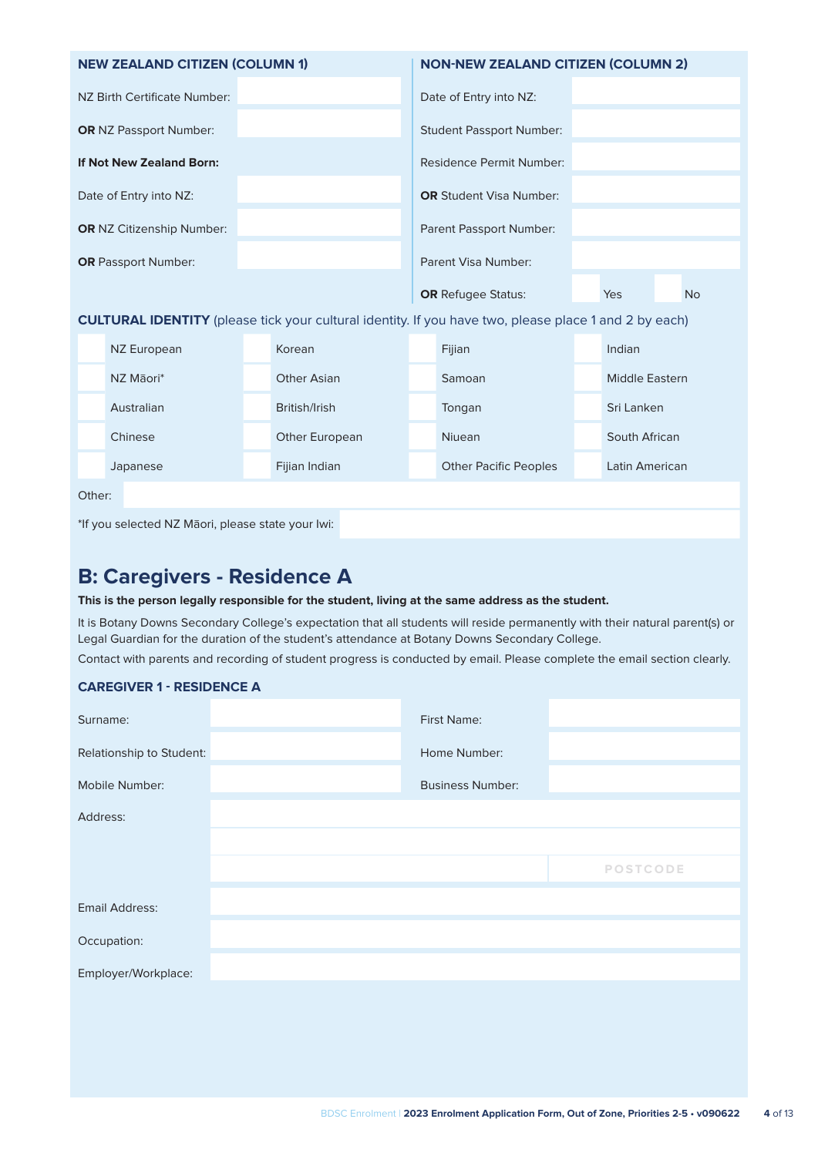| <b>NEW ZEALAND CITIZEN (COLUMN 1)</b> | <b>NON-NEW ZEALAND CITIZEN (COLUMN 2)</b>          |  |  |  |  |  |
|---------------------------------------|----------------------------------------------------|--|--|--|--|--|
| NZ Birth Certificate Number:          | Date of Entry into NZ:                             |  |  |  |  |  |
| <b>OR</b> NZ Passport Number:         | <b>Student Passport Number:</b>                    |  |  |  |  |  |
| If Not New Zealand Born:              | Residence Permit Number:                           |  |  |  |  |  |
| Date of Entry into NZ:                | <b>OR</b> Student Visa Number:                     |  |  |  |  |  |
| <b>OR NZ Citizenship Number:</b>      | Parent Passport Number:                            |  |  |  |  |  |
| <b>OR</b> Passport Number:            | Parent Visa Number:                                |  |  |  |  |  |
|                                       | <b>OR</b> Refugee Status:<br>Yes<br>N <sub>o</sub> |  |  |  |  |  |

**CULTURAL IDENTITY** (please tick your cultural identity. If you have two, please place 1 and 2 by each)

| NZ European | Korean                | Fijian                       | Indian         |
|-------------|-----------------------|------------------------------|----------------|
| NZ Māori*   | Other Asian           | Samoan                       | Middle Eastern |
| Australian  | British/Irish         | Tongan                       | Sri Lanken     |
| Chinese     | <b>Other European</b> | <b>Niuean</b>                | South African  |
| Japanese    | Fijian Indian         | <b>Other Pacific Peoples</b> | Latin American |
|             |                       |                              |                |

Other:

\*If you selected NZ Māori, please state your Iwi:

## **B: Caregivers - Residence A**

#### **This is the person legally responsible for the student, living at the same address as the student.**

It is Botany Downs Secondary College's expectation that all students will reside permanently with their natural parent(s) or Legal Guardian for the duration of the student's attendance at Botany Downs Secondary College.

Contact with parents and recording of student progress is conducted by email. Please complete the email section clearly.

#### **CAREGIVER 1 - RESIDENCE A**

| Surname:                 | First Name:             |                 |  |
|--------------------------|-------------------------|-----------------|--|
| Relationship to Student: | Home Number:            |                 |  |
| Mobile Number:           | <b>Business Number:</b> |                 |  |
| Address:                 |                         |                 |  |
|                          |                         |                 |  |
|                          |                         | <b>POSTCODE</b> |  |
| Email Address:           |                         |                 |  |
| Occupation:              |                         |                 |  |
| Employer/Workplace:      |                         |                 |  |
|                          |                         |                 |  |
|                          |                         |                 |  |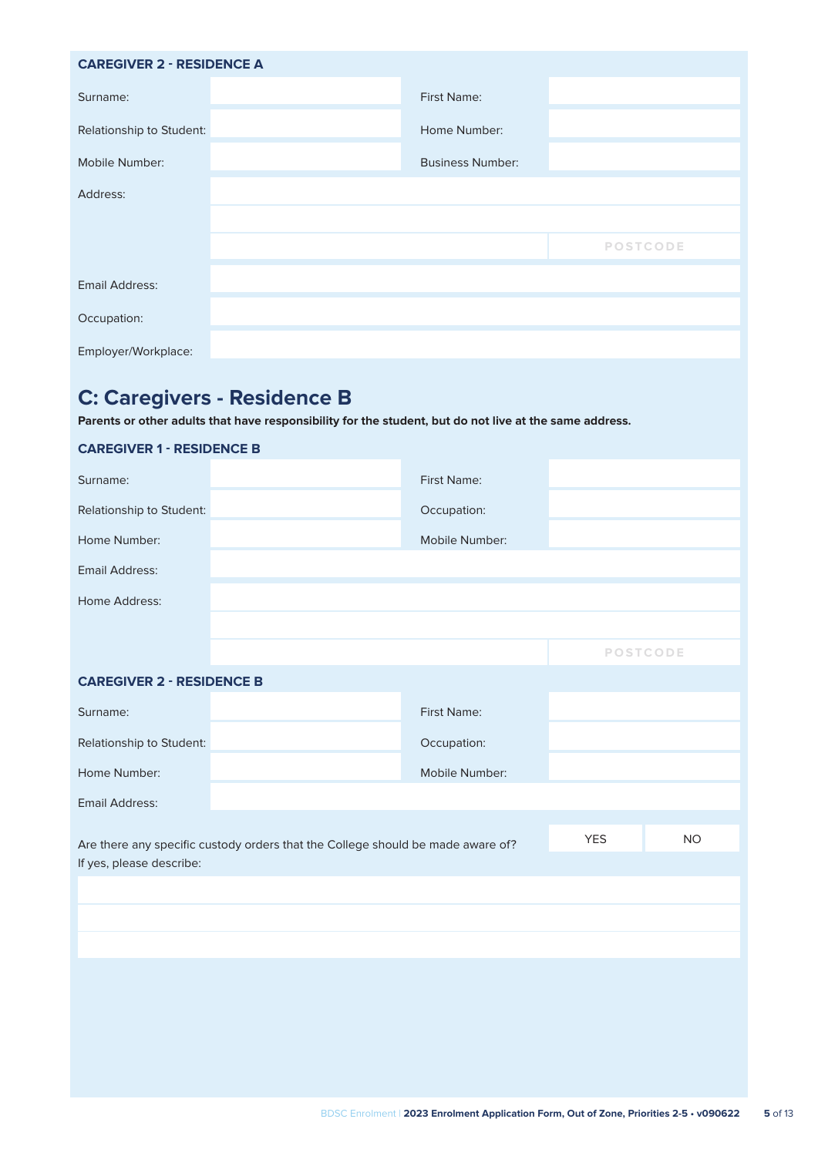| <b>CAREGIVER 2 - RESIDENCE A</b> |                         |                 |
|----------------------------------|-------------------------|-----------------|
| Surname:                         | <b>First Name:</b>      |                 |
| Relationship to Student:         | Home Number:            |                 |
| Mobile Number:                   | <b>Business Number:</b> |                 |
| Address:                         |                         |                 |
|                                  |                         |                 |
|                                  |                         | <b>POSTCODE</b> |
| <b>Email Address:</b>            |                         |                 |
| Occupation:                      |                         |                 |
| Employer/Workplace:              |                         |                 |
|                                  |                         |                 |

# **C: Caregivers - Residence B**

**CAREGIVER 1 - RESIDENCE B**

**Parents or other adults that have responsibility for the student, but do not live at the same address.**

| <b>CAREGIVER 1 - RESIDENCE B</b>                                                                            |  |                |                 |  |
|-------------------------------------------------------------------------------------------------------------|--|----------------|-----------------|--|
| Surname:                                                                                                    |  | First Name:    |                 |  |
| Relationship to Student:                                                                                    |  | Occupation:    |                 |  |
| Home Number:                                                                                                |  | Mobile Number: |                 |  |
| <b>Email Address:</b>                                                                                       |  |                |                 |  |
| Home Address:                                                                                               |  |                |                 |  |
|                                                                                                             |  |                |                 |  |
|                                                                                                             |  |                | <b>POSTCODE</b> |  |
| <b>CAREGIVER 2 - RESIDENCE B</b>                                                                            |  |                |                 |  |
| Surname:                                                                                                    |  | First Name:    |                 |  |
| Relationship to Student:                                                                                    |  | Occupation:    |                 |  |
| Home Number:                                                                                                |  | Mobile Number: |                 |  |
| <b>Email Address:</b>                                                                                       |  |                |                 |  |
| Are there any specific custody orders that the College should be made aware of?<br>If yes, please describe: |  | <b>YES</b>     | <b>NO</b>       |  |
|                                                                                                             |  |                |                 |  |
|                                                                                                             |  |                |                 |  |
|                                                                                                             |  |                |                 |  |
|                                                                                                             |  |                |                 |  |
|                                                                                                             |  |                |                 |  |
|                                                                                                             |  |                |                 |  |
|                                                                                                             |  |                |                 |  |
|                                                                                                             |  |                |                 |  |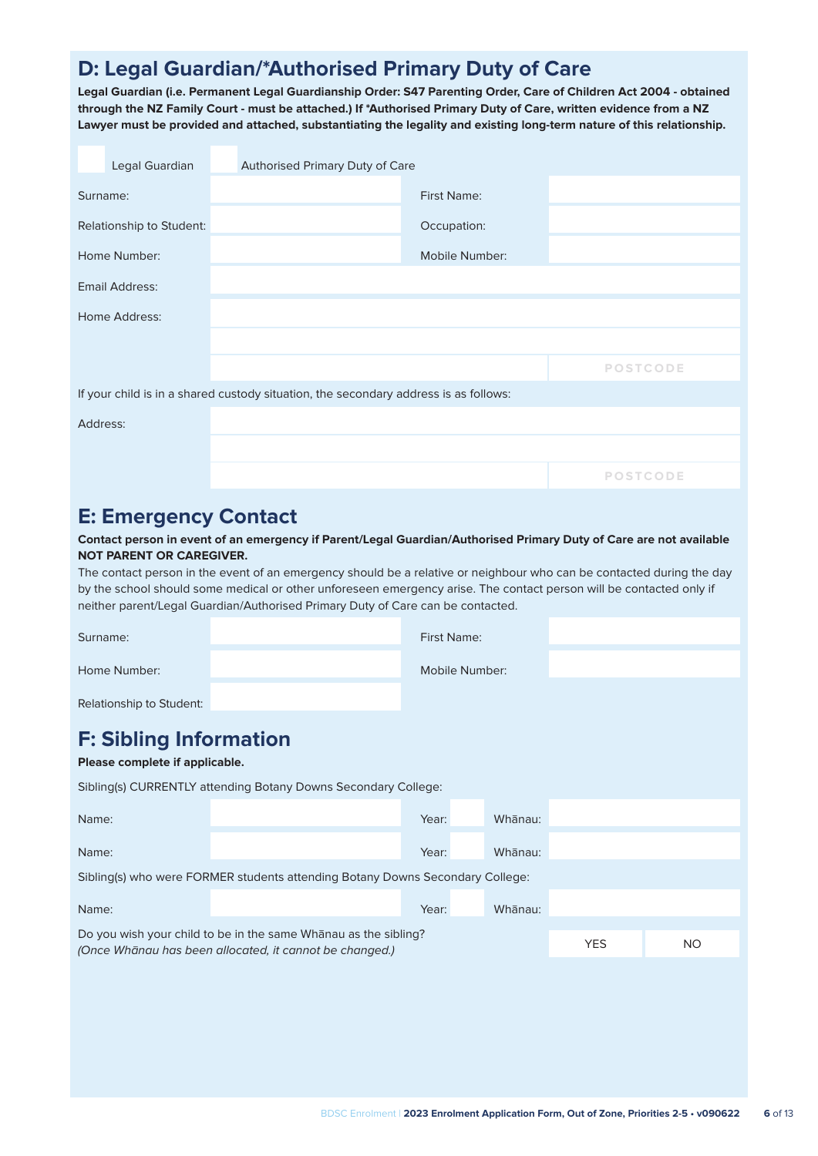# **D: Legal Guardian/\*Authorised Primary Duty of Care**

**Legal Guardian (i.e. Permanent Legal Guardianship Order: S47 Parenting Order, Care of Children Act 2004 - obtained through the NZ Family Court - must be attached.) If \*Authorised Primary Duty of Care, written evidence from a NZ Lawyer must be provided and attached, substantiating the legality and existing long-term nature of this relationship.**

|          | Legal Guardian           | Authorised Primary Duty of Care                                                      |                    |                 |
|----------|--------------------------|--------------------------------------------------------------------------------------|--------------------|-----------------|
| Surname: |                          |                                                                                      | <b>First Name:</b> |                 |
|          | Relationship to Student: |                                                                                      | Occupation:        |                 |
|          | Home Number:             |                                                                                      | Mobile Number:     |                 |
|          | Email Address:           |                                                                                      |                    |                 |
|          | Home Address:            |                                                                                      |                    |                 |
|          |                          |                                                                                      |                    |                 |
|          |                          |                                                                                      |                    | <b>POSTCODE</b> |
|          |                          | If your child is in a shared custody situation, the secondary address is as follows: |                    |                 |
| Address: |                          |                                                                                      |                    |                 |
|          |                          |                                                                                      |                    |                 |
|          |                          |                                                                                      |                    | <b>POSTCODE</b> |

### **E: Emergency Contact**

**Contact person in event of an emergency if Parent/Legal Guardian/Authorised Primary Duty of Care are not available NOT PARENT OR CAREGIVER.**

The contact person in the event of an emergency should be a relative or neighbour who can be contacted during the day by the school should some medical or other unforeseen emergency arise. The contact person will be contacted only if neither parent/Legal Guardian/Authorised Primary Duty of Care can be contacted.

| Surname:                                                                                                                          |  | First Name:    |  |         |            |           |
|-----------------------------------------------------------------------------------------------------------------------------------|--|----------------|--|---------|------------|-----------|
| Home Number:                                                                                                                      |  | Mobile Number: |  |         |            |           |
| Relationship to Student:                                                                                                          |  |                |  |         |            |           |
| <b>F: Sibling Information</b><br>Please complete if applicable.<br>Sibling(s) CURRENTLY attending Botany Downs Secondary College: |  |                |  |         |            |           |
| Name:                                                                                                                             |  | Year:          |  | Whanau: |            |           |
| Name:                                                                                                                             |  | Year:          |  | Whanau: |            |           |
| Sibling(s) who were FORMER students attending Botany Downs Secondary College:                                                     |  |                |  |         |            |           |
| Name:                                                                                                                             |  | Year:          |  | Whanau: |            |           |
| Do you wish your child to be in the same Whanau as the sibling?<br>(Once Whānau has been allocated, it cannot be changed.)        |  |                |  |         | <b>YES</b> | <b>NO</b> |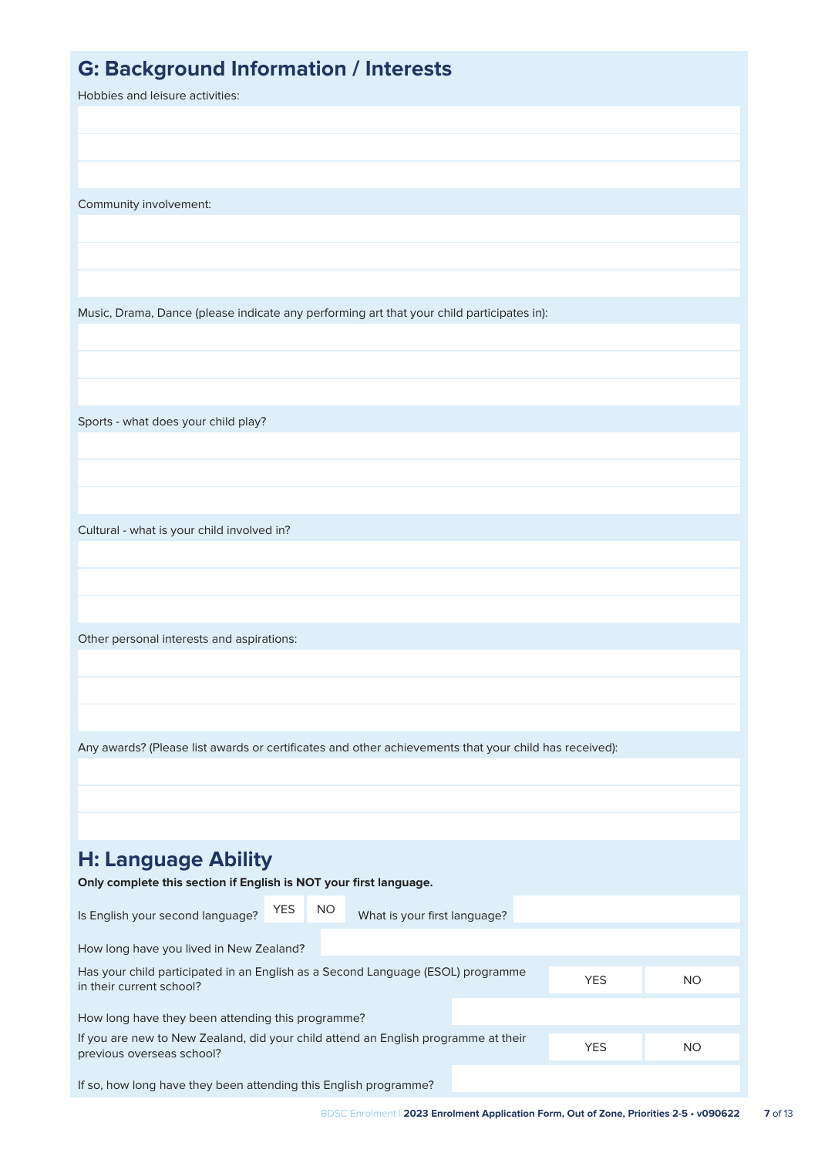| <b>G: Background Information / Interests</b><br>Hobbies and leisure activities:                                 |     |                              |  |            |           |
|-----------------------------------------------------------------------------------------------------------------|-----|------------------------------|--|------------|-----------|
|                                                                                                                 |     |                              |  |            |           |
|                                                                                                                 |     |                              |  |            |           |
|                                                                                                                 |     |                              |  |            |           |
| Community involvement:                                                                                          |     |                              |  |            |           |
|                                                                                                                 |     |                              |  |            |           |
|                                                                                                                 |     |                              |  |            |           |
|                                                                                                                 |     |                              |  |            |           |
| Music, Drama, Dance (please indicate any performing art that your child participates in):                       |     |                              |  |            |           |
|                                                                                                                 |     |                              |  |            |           |
|                                                                                                                 |     |                              |  |            |           |
|                                                                                                                 |     |                              |  |            |           |
| Sports - what does your child play?                                                                             |     |                              |  |            |           |
|                                                                                                                 |     |                              |  |            |           |
|                                                                                                                 |     |                              |  |            |           |
|                                                                                                                 |     |                              |  |            |           |
| Cultural - what is your child involved in?                                                                      |     |                              |  |            |           |
|                                                                                                                 |     |                              |  |            |           |
|                                                                                                                 |     |                              |  |            |           |
| Other personal interests and aspirations:                                                                       |     |                              |  |            |           |
|                                                                                                                 |     |                              |  |            |           |
|                                                                                                                 |     |                              |  |            |           |
|                                                                                                                 |     |                              |  |            |           |
| Any awards? (Please list awards or certificates and other achievements that your child has received):           |     |                              |  |            |           |
|                                                                                                                 |     |                              |  |            |           |
|                                                                                                                 |     |                              |  |            |           |
|                                                                                                                 |     |                              |  |            |           |
| <b>H: Language Ability</b>                                                                                      |     |                              |  |            |           |
| Only complete this section if English is NOT your first language.                                               |     |                              |  |            |           |
| <b>YES</b><br>Is English your second language?                                                                  | NO. | What is your first language? |  |            |           |
| How long have you lived in New Zealand?                                                                         |     |                              |  |            |           |
| Has your child participated in an English as a Second Language (ESOL) programme<br>in their current school?     |     |                              |  | <b>YES</b> | NO.       |
| How long have they been attending this programme?                                                               |     |                              |  |            |           |
| If you are new to New Zealand, did your child attend an English programme at their<br>previous overseas school? |     |                              |  | <b>YES</b> | <b>NO</b> |
| If so, how long have they been attending this English programme?                                                |     |                              |  |            |           |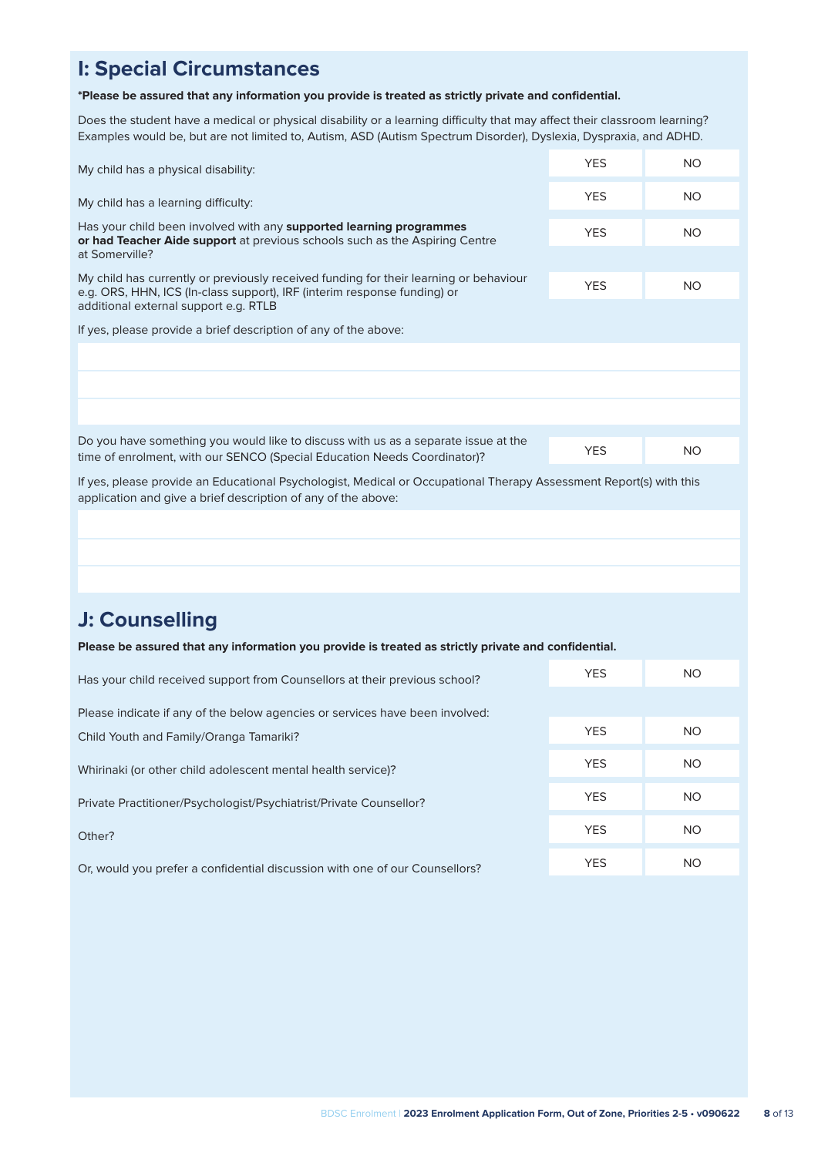# **I: Special Circumstances**

#### **\*Please be assured that any information you provide is treated as strictly private and confidential.**

Does the student have a medical or physical disability or a learning difficulty that may affect their classroom learning? Examples would be, but are not limited to, Autism, ASD (Autism Spectrum Disorder), Dyslexia, Dyspraxia, and ADHD.

| My child has a physical disability:                                                                                                                                                                        | <b>YES</b> | <b>NO</b> |
|------------------------------------------------------------------------------------------------------------------------------------------------------------------------------------------------------------|------------|-----------|
| My child has a learning difficulty:                                                                                                                                                                        | <b>YES</b> | <b>NO</b> |
| Has your child been involved with any supported learning programmes<br>or had Teacher Aide support at previous schools such as the Aspiring Centre                                                         |            | NO.       |
| at Somerville?                                                                                                                                                                                             |            |           |
| My child has currently or previously received funding for their learning or behaviour<br>e.g. ORS, HHN, ICS (In-class support), IRF (interim response funding) or<br>additional external support e.g. RTLB | <b>YES</b> | <b>NO</b> |
|                                                                                                                                                                                                            |            |           |
| If yes, please provide a brief description of any of the above:                                                                                                                                            |            |           |
|                                                                                                                                                                                                            |            |           |
|                                                                                                                                                                                                            |            |           |
|                                                                                                                                                                                                            |            |           |
| Do you have something you would like to discuss with us as a separate issue at the                                                                                                                         |            |           |
| time of enrolment, with our SENCO (Special Education Needs Coordinator)?                                                                                                                                   | <b>YES</b> | <b>NO</b> |
| If yes, please provide an Educational Psychologist, Medical or Occupational Therapy Assessment Report(s) with this<br>application and give a brief description of any of the above:                        |            |           |
|                                                                                                                                                                                                            |            |           |
|                                                                                                                                                                                                            |            |           |
|                                                                                                                                                                                                            |            |           |

### **J: Counselling**

**Please be assured that any information you provide is treated as strictly private and confidential.**

| Has your child received support from Counsellors at their previous school?   | <b>YES</b> | NO. |
|------------------------------------------------------------------------------|------------|-----|
| Please indicate if any of the below agencies or services have been involved: |            |     |
| Child Youth and Family/Oranga Tamariki?                                      | <b>YES</b> | NO. |
| Whirinaki (or other child adolescent mental health service)?                 | <b>YES</b> | NO. |
| Private Practitioner/Psychologist/Psychiatrist/Private Counsellor?           | <b>YES</b> | NO. |
| Other?                                                                       | <b>YES</b> | NO. |
| Or, would you prefer a confidential discussion with one of our Counsellors?  | <b>YES</b> | NO. |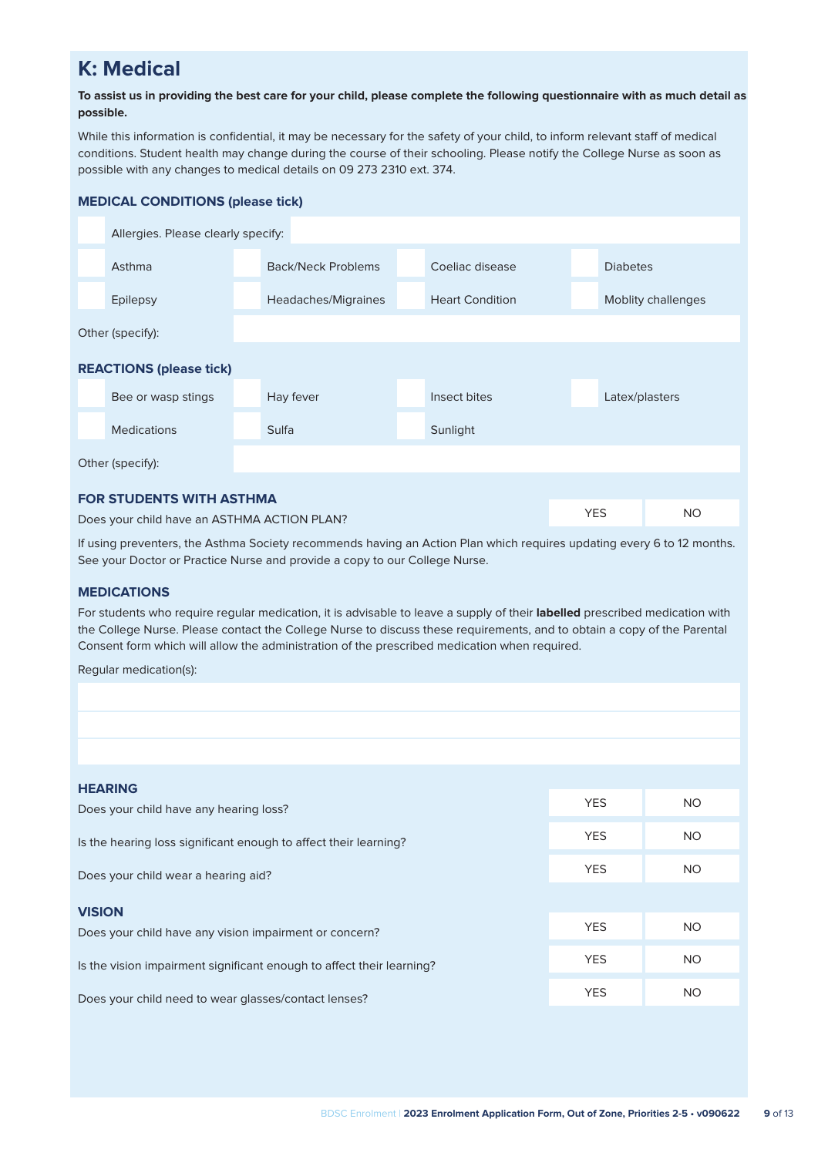# **K: Medical**

#### **To assist us in providing the best care for your child, please complete the following questionnaire with as much detail as possible.**

While this information is confidential, it may be necessary for the safety of your child, to inform relevant staff of medical conditions. Student health may change during the course of their schooling. Please notify the College Nurse as soon as possible with any changes to medical details on 09 273 2310 ext. 374.

#### **MEDICAL CONDITIONS (please tick)**

|                                 | Allergies. Please clearly specify:          |                                       |                     |  |                        |  |                 |                    |
|---------------------------------|---------------------------------------------|---------------------------------------|---------------------|--|------------------------|--|-----------------|--------------------|
|                                 | Asthma                                      | Back/Neck Problems<br>Coeliac disease |                     |  |                        |  | <b>Diabetes</b> |                    |
|                                 | <b>Epilepsy</b>                             |                                       | Headaches/Migraines |  | <b>Heart Condition</b> |  |                 | Moblity challenges |
|                                 | Other (specify):                            |                                       |                     |  |                        |  |                 |                    |
| <b>REACTIONS (please tick)</b>  |                                             |                                       |                     |  |                        |  |                 |                    |
|                                 | Bee or wasp stings                          |                                       | Hay fever           |  | Insect bites           |  | Latex/plasters  |                    |
|                                 | <b>Medications</b>                          | Sulfa                                 |                     |  | Sunlight               |  |                 |                    |
| Other (specify):                |                                             |                                       |                     |  |                        |  |                 |                    |
| <b>FOR STUDENTS WITH ASTHMA</b> |                                             |                                       |                     |  |                        |  |                 |                    |
|                                 | Does your child have an ASTHMA ACTION PLAN? |                                       |                     |  |                        |  | <b>YES</b>      | NO.                |

If using preventers, the Asthma Society recommends having an Action Plan which requires updating every 6 to 12 months. See your Doctor or Practice Nurse and provide a copy to our College Nurse.

#### **MEDICATIONS**

For students who require regular medication, it is advisable to leave a supply of their **labelled** prescribed medication with the College Nurse. Please contact the College Nurse to discuss these requirements, and to obtain a copy of the Parental Consent form which will allow the administration of the prescribed medication when required.

Regular medication(s):

| <b>HEARING</b>                                                          |            |           |
|-------------------------------------------------------------------------|------------|-----------|
| Does your child have any hearing loss?                                  | <b>YES</b> | <b>NO</b> |
| Is the hearing loss significant enough to affect their learning?        | <b>YES</b> | <b>NO</b> |
| Does your child wear a hearing aid?                                     | <b>YES</b> | <b>NO</b> |
|                                                                         |            |           |
| <b>VISION</b><br>Does your child have any vision impairment or concern? | <b>YES</b> | <b>NO</b> |
| Is the vision impairment significant enough to affect their learning?   | <b>YES</b> | <b>NO</b> |
| Does your child need to wear glasses/contact lenses?                    | <b>YES</b> | <b>NO</b> |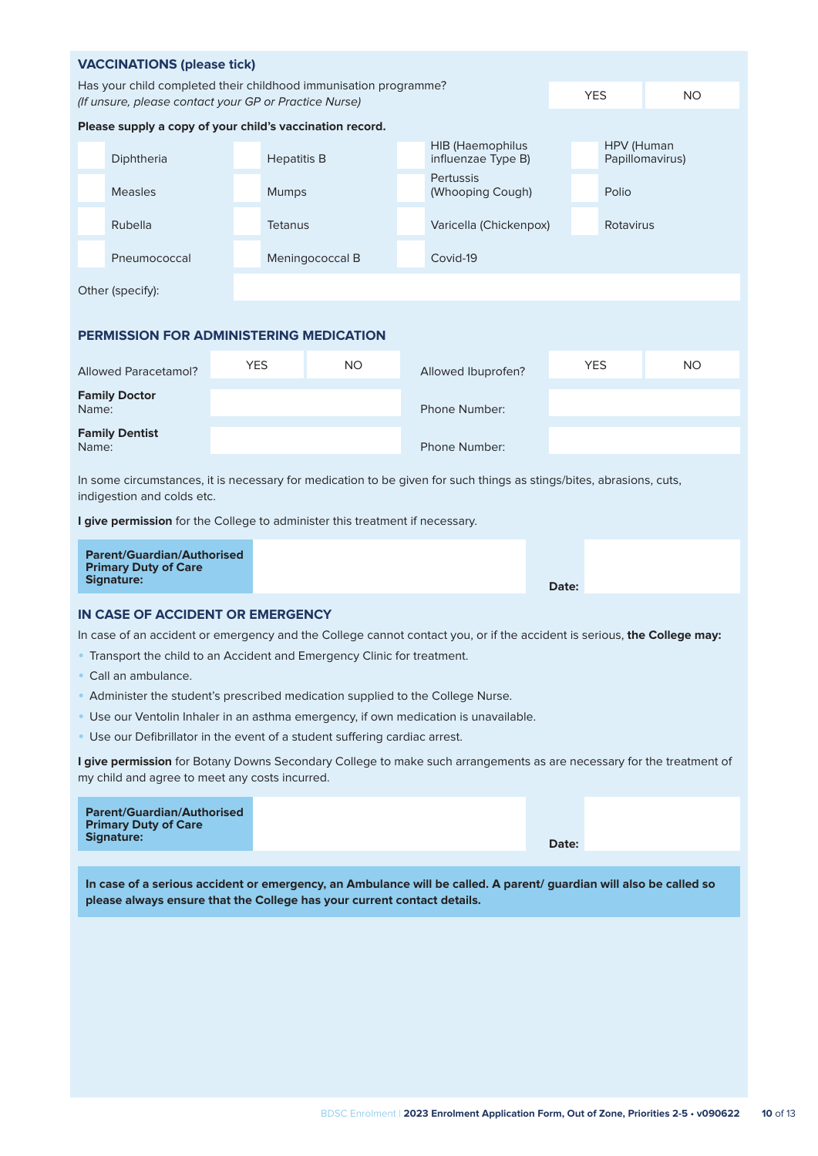| <b>VACCINATIONS (please tick)</b>                                                                                                              |                                                                        |                    |                |                 |                                               |                                      |            |                 |     |  |
|------------------------------------------------------------------------------------------------------------------------------------------------|------------------------------------------------------------------------|--------------------|----------------|-----------------|-----------------------------------------------|--------------------------------------|------------|-----------------|-----|--|
| Has your child completed their childhood immunisation programme?<br><b>YES</b><br>NO.<br>(If unsure, please contact your GP or Practice Nurse) |                                                                        |                    |                |                 |                                               |                                      |            |                 |     |  |
|                                                                                                                                                |                                                                        |                    |                |                 |                                               |                                      |            |                 |     |  |
|                                                                                                                                                | Please supply a copy of your child's vaccination record.               |                    |                |                 |                                               |                                      |            |                 |     |  |
| Diphtheria                                                                                                                                     |                                                                        | <b>Hepatitis B</b> |                |                 | <b>HIB (Haemophilus</b><br>influenzae Type B) |                                      | HPV (Human | Papillomavirus) |     |  |
|                                                                                                                                                | <b>Measles</b>                                                         |                    | Mumps          |                 |                                               | <b>Pertussis</b><br>(Whooping Cough) |            | Polio           |     |  |
|                                                                                                                                                | Rubella                                                                |                    | <b>Tetanus</b> |                 |                                               | Varicella (Chickenpox)               |            | Rotavirus       |     |  |
|                                                                                                                                                | Pneumococcal                                                           |                    |                | Meningococcal B |                                               | Covid-19                             |            |                 |     |  |
|                                                                                                                                                | Other (specify):                                                       |                    |                |                 |                                               |                                      |            |                 |     |  |
|                                                                                                                                                |                                                                        |                    |                |                 |                                               |                                      |            |                 |     |  |
|                                                                                                                                                | <b>PERMISSION FOR ADMINISTERING MEDICATION</b>                         |                    |                |                 |                                               |                                      |            |                 |     |  |
|                                                                                                                                                | <b>Allowed Paracetamol?</b>                                            | <b>YES</b>         |                | NO.             | Allowed Ibuprofen?                            |                                      |            | <b>YES</b>      | NO. |  |
| Name:                                                                                                                                          | <b>Family Doctor</b>                                                   |                    |                |                 |                                               | Phone Number:                        |            |                 |     |  |
| <b>Family Dentist</b><br>Name:                                                                                                                 |                                                                        |                    |                |                 |                                               | Phone Number:                        |            |                 |     |  |
| In some circumstances, it is necessary for medication to be given for such things as stings/bites, abrasions, cuts,                            |                                                                        |                    |                |                 |                                               |                                      |            |                 |     |  |
|                                                                                                                                                | indigestion and colds etc.                                             |                    |                |                 |                                               |                                      |            |                 |     |  |
| I give permission for the College to administer this treatment if necessary.                                                                   |                                                                        |                    |                |                 |                                               |                                      |            |                 |     |  |
| <b>Parent/Guardian/Authorised</b><br><b>Primary Duty of Care</b>                                                                               |                                                                        |                    |                |                 |                                               |                                      |            |                 |     |  |
| <b>Signature:</b><br>Date:                                                                                                                     |                                                                        |                    |                |                 |                                               |                                      |            |                 |     |  |
| IN CASE OF ACCIDENT OR EMERGENCY                                                                                                               |                                                                        |                    |                |                 |                                               |                                      |            |                 |     |  |
| In case of an accident or emergency and the College cannot contact you, or if the accident is serious, the College may:                        |                                                                        |                    |                |                 |                                               |                                      |            |                 |     |  |
|                                                                                                                                                | Transport the child to an Accident and Emergency Clinic for treatment. |                    |                |                 |                                               |                                      |            |                 |     |  |
|                                                                                                                                                | Call an ambulance.                                                     |                    |                |                 |                                               |                                      |            |                 |     |  |
| Administer the student's prescribed medication supplied to the College Nurse.                                                                  |                                                                        |                    |                |                 |                                               |                                      |            |                 |     |  |

- Use our Ventolin Inhaler in an asthma emergency, if own medication is unavailable.
- Use our Defibrillator in the event of a student suffering cardiac arrest.

**I give permission** for Botany Downs Secondary College to make such arrangements as are necessary for the treatment of my child and agree to meet any costs incurred.

| <b>Parent/Guardian/Authorised</b><br><b>Primary Duty of Care</b><br><b>Signature:</b> | Date: |  |
|---------------------------------------------------------------------------------------|-------|--|
|                                                                                       |       |  |

**In case of a serious accident or emergency, an Ambulance will be called. A parent/ guardian will also be called so please always ensure that the College has your current contact details.**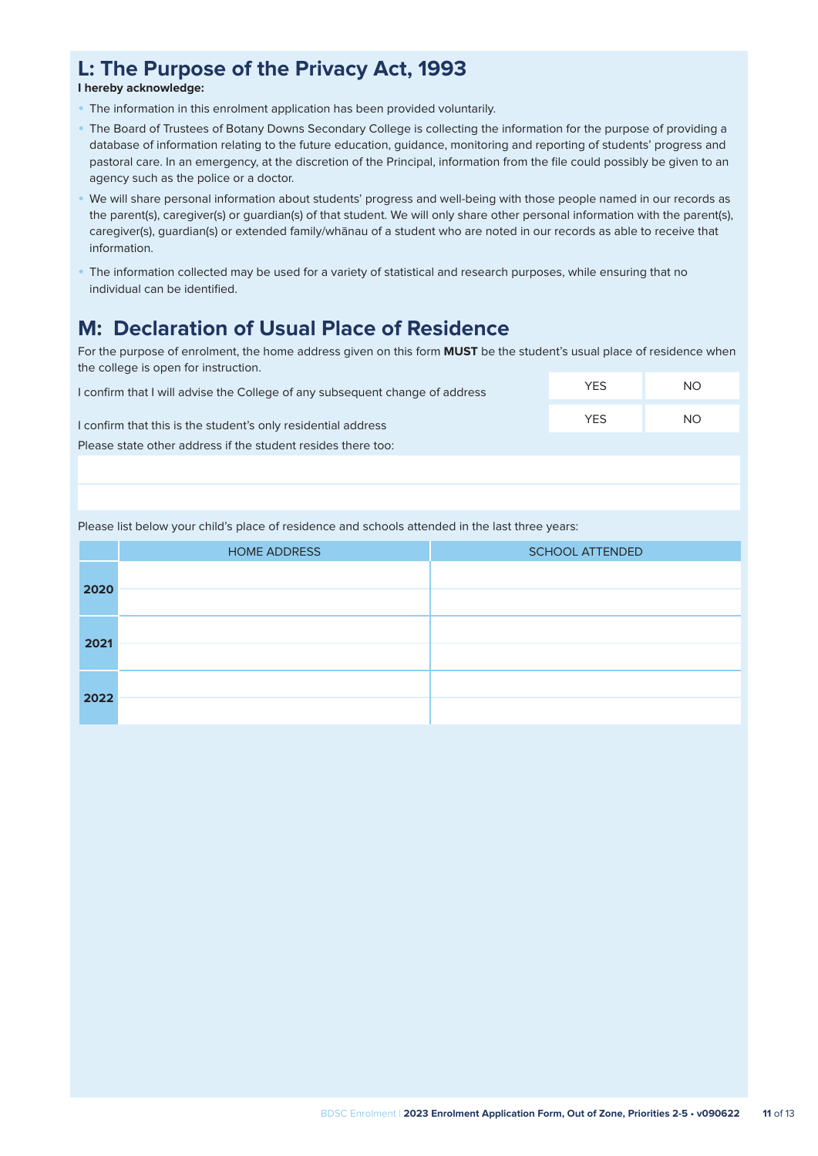# **L: The Purpose of the Privacy Act, 1993**

**I hereby acknowledge:**

- The information in this enrolment application has been provided voluntarily.
- The Board of Trustees of Botany Downs Secondary College is collecting the information for the purpose of providing a database of information relating to the future education, guidance, monitoring and reporting of students' progress and pastoral care. In an emergency, at the discretion of the Principal, information from the file could possibly be given to an agency such as the police or a doctor.
- We will share personal information about students' progress and well-being with those people named in our records as the parent(s), caregiver(s) or guardian(s) of that student. We will only share other personal information with the parent(s), caregiver(s), guardian(s) or extended family/whānau of a student who are noted in our records as able to receive that information.
- The information collected may be used for a variety of statistical and research purposes, while ensuring that no individual can be identified.

# **M: Declaration of Usual Place of Residence**

For the purpose of enrolment, the home address given on this form **MUST** be the student's usual place of residence when the college is open for instruction.

| I confirm that I will advise the College of any subsequent change of address | <b>YES</b> | <b>NO</b> |
|------------------------------------------------------------------------------|------------|-----------|
| I confirm that this is the student's only residential address                | <b>YFS</b> | NO.       |
| Please state other address if the student resides there too:                 |            |           |
|                                                                              |            |           |

Please list below your child's place of residence and schools attended in the last three years:

|      | <b>HOME ADDRESS</b> | <b>SCHOOL ATTENDED</b> |
|------|---------------------|------------------------|
| 2020 |                     |                        |
|      |                     |                        |
|      |                     |                        |
| 2021 |                     |                        |
|      |                     |                        |
| 2022 |                     |                        |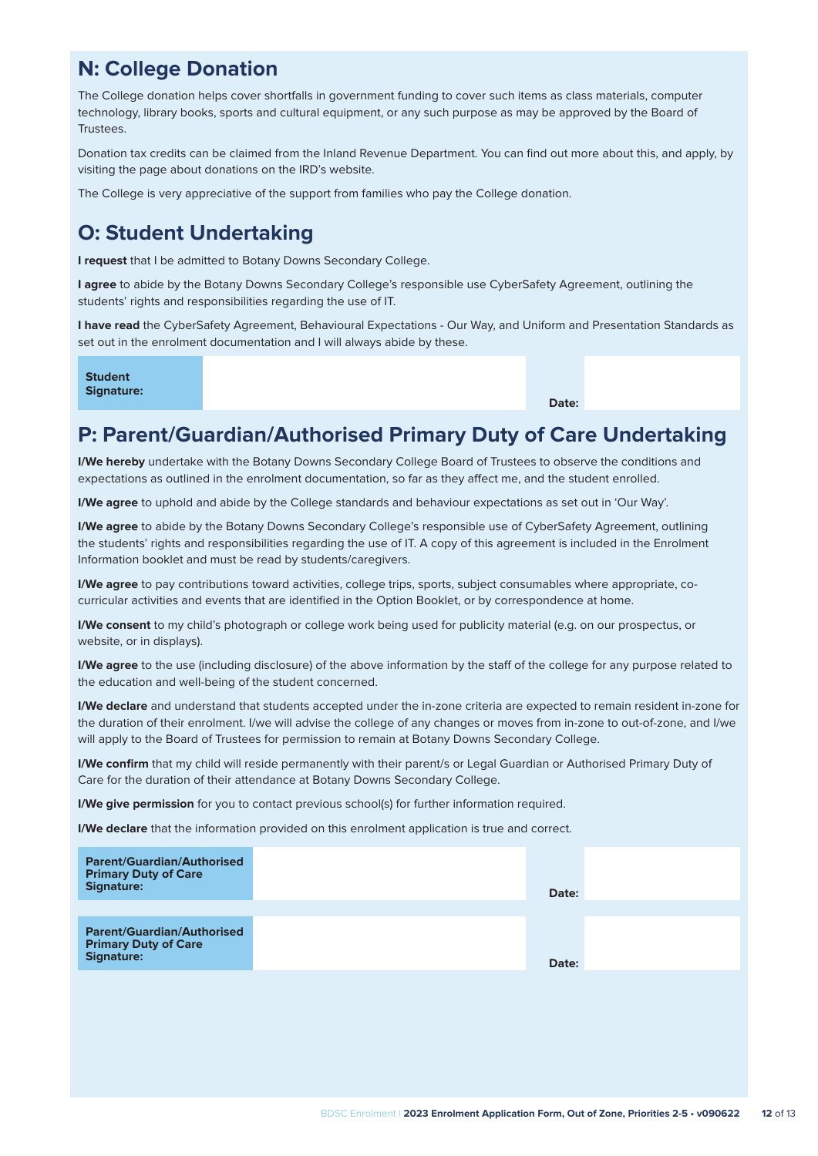# **N: College Donation**

The College donation helps cover shortfalls in government funding to cover such items as class materials, computer technology, library books, sports and cultural equipment, or any such purpose as may be approved by the Board of **Trustees** 

Donation tax credits can be claimed from the Inland Revenue Department. You can find out more about this, and apply, by visiting the page about donations on the IRD's website.

The College is very appreciative of the support from families who pay the College donation.

# **O: Student Undertaking**

**I request** that I be admitted to Botany Downs Secondary College.

**I agree** to abide by the Botany Downs Secondary College's responsible use CyberSafety Agreement, outlining the students' rights and responsibilities regarding the use of IT.

**I have read** the CyberSafety Agreement, Behavioural Expectations - Our Way, and Uniform and Presentation Standards as set out in the enrolment documentation and I will always abide by these.

**Student Signature:**

**Date:** 

### **P: Parent/Guardian/Authorised Primary Duty of Care Undertaking**

**I/We hereby** undertake with the Botany Downs Secondary College Board of Trustees to observe the conditions and expectations as outlined in the enrolment documentation, so far as they affect me, and the student enrolled.

**I/We agree** to uphold and abide by the College standards and behaviour expectations as set out in 'Our Way'.

**I/We agree** to abide by the Botany Downs Secondary College's responsible use of CyberSafety Agreement, outlining the students' rights and responsibilities regarding the use of IT. A copy of this agreement is included in the Enrolment Information booklet and must be read by students/caregivers.

**I/We agree** to pay contributions toward activities, college trips, sports, subject consumables where appropriate, cocurricular activities and events that are identified in the Option Booklet, or by correspondence at home.

**I/We consent** to my child's photograph or college work being used for publicity material (e.g. on our prospectus, or website, or in displays).

**I/We agree** to the use (including disclosure) of the above information by the staff of the college for any purpose related to the education and well-being of the student concerned.

**I/We declare** and understand that students accepted under the in-zone criteria are expected to remain resident in-zone for the duration of their enrolment. I/we will advise the college of any changes or moves from in-zone to out-of-zone, and I/we will apply to the Board of Trustees for permission to remain at Botany Downs Secondary College.

**I/We confirm** that my child will reside permanently with their parent/s or Legal Guardian or Authorised Primary Duty of Care for the duration of their attendance at Botany Downs Secondary College.

**I/We give permission** for you to contact previous school(s) for further information required.

**I/We declare** that the information provided on this enrolment application is true and correct.

| <b>Parent/Guardian/Authorised</b><br><b>Primary Duty of Care</b><br><b>Signature:</b> | Date: |  |
|---------------------------------------------------------------------------------------|-------|--|
|                                                                                       |       |  |
| <b>Parent/Guardian/Authorised</b><br><b>Primary Duty of Care</b><br><b>Signature:</b> | Date: |  |
|                                                                                       |       |  |